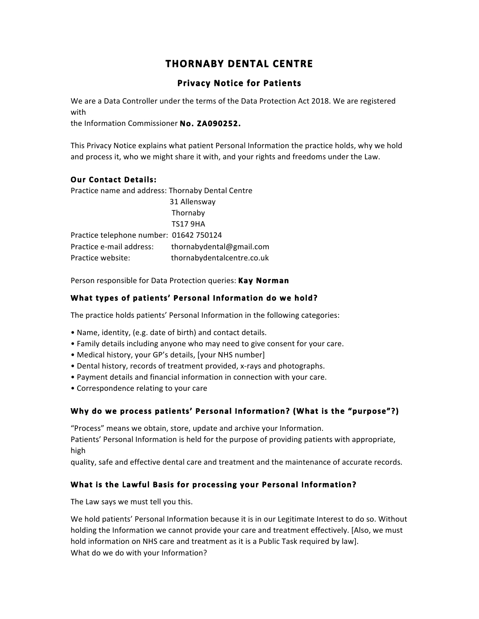# **THORNABY DENTAL CENTRE**

## **Privacy Notice for Patients**

We are a Data Controller under the terms of the Data Protection Act 2018. We are registered with

the Information Commissioner **No. ZA090252.**

This Privacy Notice explains what patient Personal Information the practice holds, why we hold and process it, who we might share it with, and your rights and freedoms under the Law.

## **Our Contact Details:**

Practice name and address: Thornaby Dental Centre

|                                         | 31 Allensway               |
|-----------------------------------------|----------------------------|
|                                         | Thornaby                   |
|                                         | <b>TS17 9HA</b>            |
| Practice telephone number: 01642 750124 |                            |
| Practice e-mail address:                | thornabydental@gmail.com   |
| Practice website:                       | thornabydentalcentre.co.uk |

Person responsible for Data Protection queries: **Kay Norman**

#### **What types of patients' Personal Information do we hold?**

The practice holds patients' Personal Information in the following categories:

- Name, identity, (e.g. date of birth) and contact details.
- Family details including anyone who may need to give consent for your care.
- Medical history, your GP's details, [your NHS number]
- Dental history, records of treatment provided, x-rays and photographs.
- Payment details and financial information in connection with your care.
- Correspondence relating to your care

## **Why do we process patients' Personal Information? (What is the "purpose"?)**

"Process" means we obtain, store, update and archive your Information.

Patients' Personal Information is held for the purpose of providing patients with appropriate, high

quality, safe and effective dental care and treatment and the maintenance of accurate records.

## **What is the Lawful Basis for processing your Personal Information?**

The Law says we must tell you this.

We hold patients' Personal Information because it is in our Legitimate Interest to do so. Without holding the Information we cannot provide your care and treatment effectively. [Also, we must hold information on NHS care and treatment as it is a Public Task required by law]. What do we do with your Information?